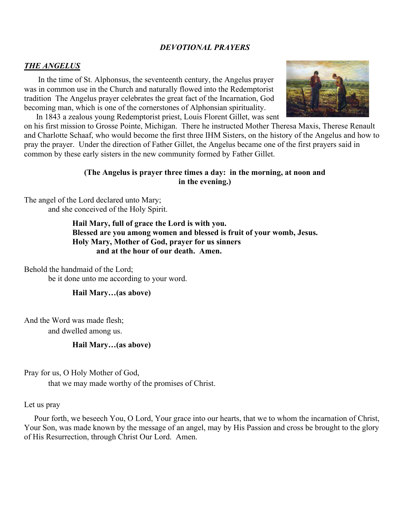### *DEVOTIONAL PRAYERS*

#### *THE ANGELUS*

 In the time of St. Alphonsus, the seventeenth century, the Angelus prayer was in common use in the Church and naturally flowed into the Redemptorist tradition The Angelus prayer celebrates the great fact of the Incarnation, God becoming man, which is one of the cornerstones of Alphonsian spirituality. In 1843 a zealous young Redemptorist priest, Louis Florent Gillet, was sent



on his first mission to Grosse Pointe, Michigan. There he instructed Mother Theresa Maxis, Therese Renault and Charlotte Schaaf, who would become the first three IHM Sisters, on the history of the Angelus and how to pray the prayer. Under the direction of Father Gillet, the Angelus became one of the first prayers said in common by these early sisters in the new community formed by Father Gillet.

#### **(The Angelus is prayer three times a day: in the morning, at noon and in the evening.)**

The angel of the Lord declared unto Mary; and she conceived of the Holy Spirit.

> **Hail Mary, full of grace the Lord is with you. Blessed are you among women and blessed is fruit of your womb, Jesus. Holy Mary, Mother of God, prayer for us sinners and at the hour of our death. Amen.**

Behold the handmaid of the Lord;

be it done unto me according to your word.

#### **Hail Mary…(as above)**

And the Word was made flesh;

and dwelled among us.

#### **Hail Mary…(as above)**

Pray for us, O Holy Mother of God,

that we may made worthy of the promises of Christ.

#### Let us pray

 Pour forth, we beseech You, O Lord, Your grace into our hearts, that we to whom the incarnation of Christ, Your Son, was made known by the message of an angel, may by His Passion and cross be brought to the glory of His Resurrection, through Christ Our Lord. Amen.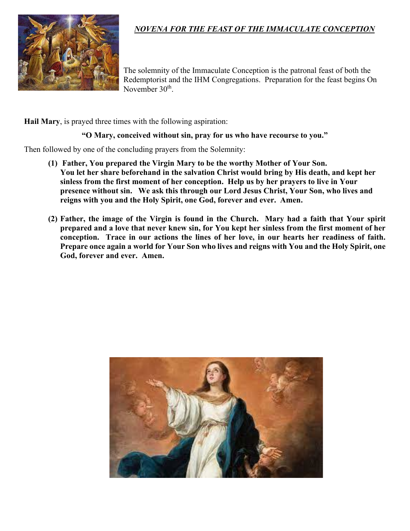

# *NOVENA FOR THE FEAST OF THE IMMACULATE CONCEPTION*

The solemnity of the Immaculate Conception is the patronal feast of both the Redemptorist and the IHM Congregations. Preparation for the feast begins On November 30<sup>th</sup>.

**Hail Mary**, is prayed three times with the following aspiration:

#### **"O Mary, conceived without sin, pray for us who have recourse to you."**

Then followed by one of the concluding prayers from the Solemnity:

- **(1) Father, You prepared the Virgin Mary to be the worthy Mother of Your Son. You let her share beforehand in the salvation Christ would bring by His death, and kept her sinless from the first moment of her conception. Help us by her prayers to live in Your presence without sin. We ask this through our Lord Jesus Christ, Your Son, who lives and reigns with you and the Holy Spirit, one God, forever and ever. Amen.**
- **(2) Father, the image of the Virgin is found in the Church. Mary had a faith that Your spirit prepared and a love that never knew sin, for You kept her sinless from the first moment of her conception. Trace in our actions the lines of her love, in our hearts her readiness of faith. Prepare once again a world for Your Son who lives and reigns with You and the Holy Spirit, one God, forever and ever. Amen.**

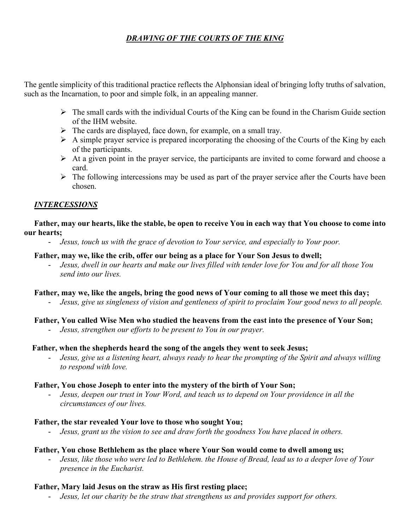# *DRAWING OF THE COURTS OF THE KING*

The gentle simplicity of this traditional practice reflects the Alphonsian ideal of bringing lofty truths of salvation, such as the Incarnation, to poor and simple folk, in an appealing manner.

- $\triangleright$  The small cards with the individual Courts of the King can be found in the Charism Guide section of the IHM website.
- $\triangleright$  The cards are displayed, face down, for example, on a small tray.
- $\triangleright$  A simple prayer service is prepared incorporating the choosing of the Courts of the King by each of the participants.
- $\triangleright$  At a given point in the prayer service, the participants are invited to come forward and choose a card.
- $\triangleright$  The following intercessions may be used as part of the prayer service after the Courts have been chosen.

### *INTERCESSIONS*

 **Father, may our hearts, like the stable, be open to receive You in each way that You choose to come into our hearts;**

- *Jesus, touch us with the grace of devotion to Your service, and especially to Your poor.*

#### **Father, may we, like the crib, offer our being as a place for Your Son Jesus to dwell;**

- *Jesus, dwell in our hearts and make our lives filled with tender love for You and for all those You send into our lives.*

### **Father, may we, like the angels, bring the good news of Your coming to all those we meet this day;**

- *Jesus, give us singleness of vision and gentleness of spirit to proclaim Your good news to all people.*

### **Father, You called Wise Men who studied the heavens from the east into the presence of Your Son;**

- *Jesus, strengthen our efforts to be present to You in our prayer.*

### **Father, when the shepherds heard the song of the angels they went to seek Jesus;**

- *Jesus, give us a listening heart, always ready to hear the prompting of the Spirit and always willing to respond with love.*

### **Father, You chose Joseph to enter into the mystery of the birth of Your Son;**

- *Jesus, deepen our trust in Your Word, and teach us to depend on Your providence in all the circumstances of our lives.*

### **Father, the star revealed Your love to those who sought You;**

- *Jesus, grant us the vision to see and draw forth the goodness You have placed in others.*

### **Father, You chose Bethlehem as the place where Your Son would come to dwell among us;**

- *Jesus, like those who were led to Bethlehem. the House of Bread, lead us to a deeper love of Your presence in the Eucharist.*

### **Father, Mary laid Jesus on the straw as His first resting place;**

- *Jesus, let our charity be the straw that strengthens us and provides support for others.*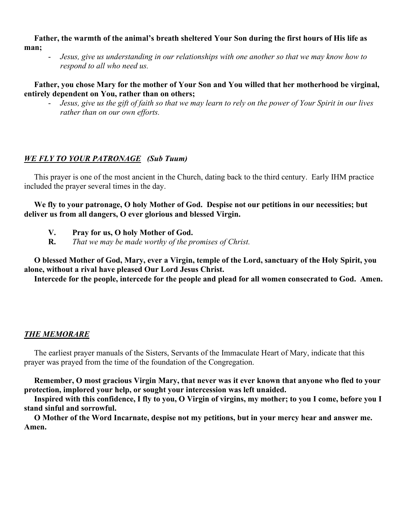**Father, the warmth of the animal's breath sheltered Your Son during the first hours of His life as man;**

- *Jesus, give us understanding in our relationships with one another so that we may know how to respond to all who need us.*

#### **Father, you chose Mary for the mother of Your Son and You willed that her motherhood be virginal, entirely dependent on You, rather than on others;**

*Jesus, give us the gift of faith so that we may learn to rely on the power of Your Spirit in our lives rather than on our own efforts.*

# *WE FLY TO YOUR PATRONAGE (Sub Tuum)*

This prayer is one of the most ancient in the Church, dating back to the third century. Early IHM practice included the prayer several times in the day.

 **We fly to your patronage, O holy Mother of God. Despise not our petitions in our necessities; but deliver us from all dangers, O ever glorious and blessed Virgin.**

- **V. Pray for us, O holy Mother of God.**
- **R.** *That we may be made worthy of the promises of Christ.*

 **O blessed Mother of God, Mary, ever a Virgin, temple of the Lord, sanctuary of the Holy Spirit, you alone, without a rival have pleased Our Lord Jesus Christ.**

 **Intercede for the people, intercede for the people and plead for all women consecrated to God. Amen.**

# *THE MEMORARE*

 The earliest prayer manuals of the Sisters, Servants of the Immaculate Heart of Mary, indicate that this prayer was prayed from the time of the foundation of the Congregation.

 **Remember, O most gracious Virgin Mary, that never was it ever known that anyone who fled to your protection, implored your help, or sought your intercession was left unaided.**

 **Inspired with this confidence, I fly to you, O Virgin of virgins, my mother; to you I come, before you I stand sinful and sorrowful.**

 **O Mother of the Word Incarnate, despise not my petitions, but in your mercy hear and answer me. Amen.**